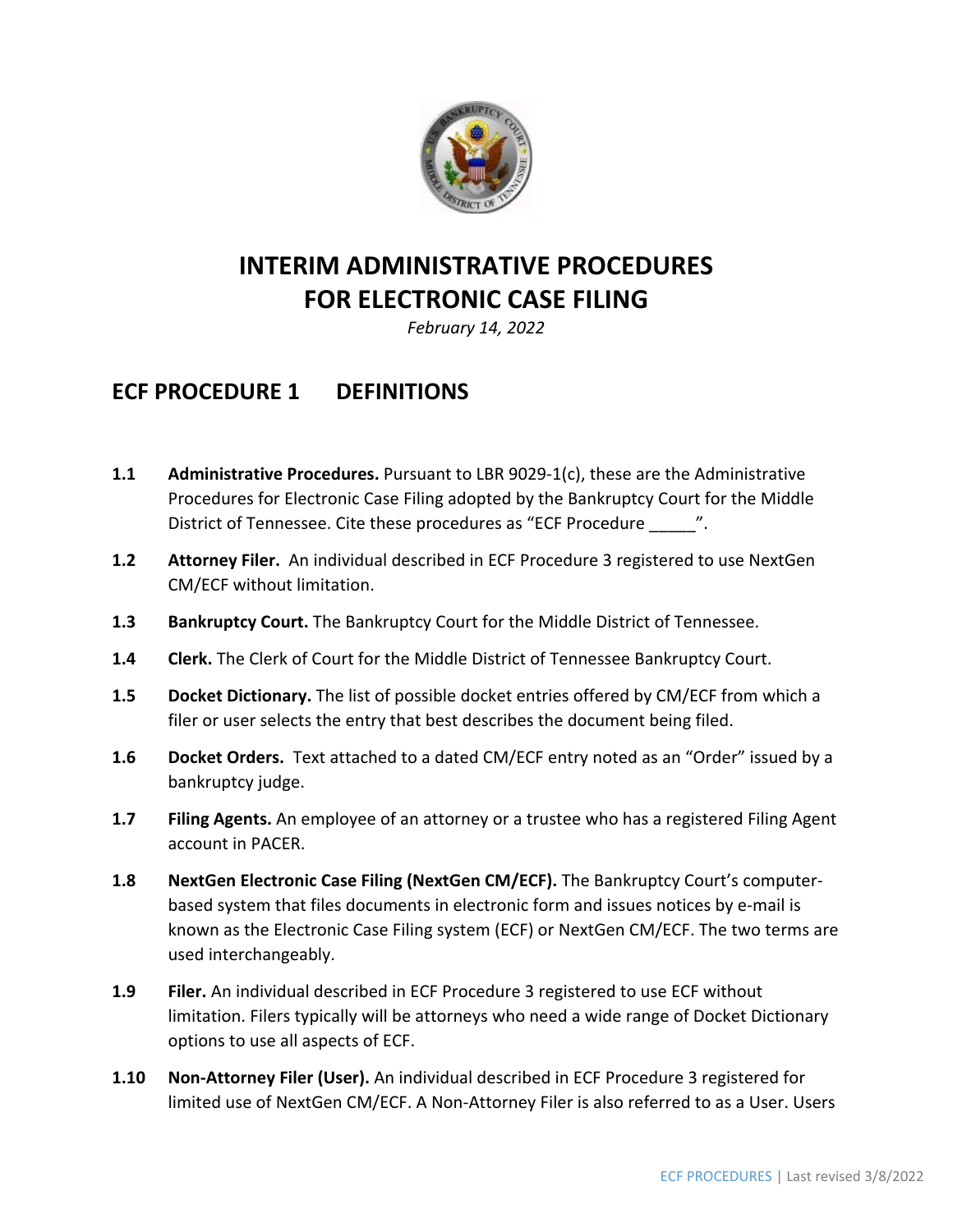

# **INTERIM ADMINISTRATIVE PROCEDURES FOR ELECTRONIC CASE FILING**

*February 14, 2022* 

### **ECF PROCEDURE 1 DEFINITIONS**

- **1.1 Administrative Procedures.** Pursuant to LBR 9029‐1(c), these are the Administrative Procedures for Electronic Case Filing adopted by the Bankruptcy Court for the Middle District of Tennessee. Cite these procedures as "ECF Procedure \_\_\_\_\_\_".
- **1.2 Attorney Filer.** An individual described in ECF Procedure 3 registered to use NextGen CM/ECF without limitation.
- **1.3 Bankruptcy Court.** The Bankruptcy Court for the Middle District of Tennessee.
- **1.4 Clerk.** The Clerk of Court for the Middle District of Tennessee Bankruptcy Court.
- **1.5 Docket Dictionary.** The list of possible docket entries offered by CM/ECF from which a filer or user selects the entry that best describes the document being filed.
- **1.6 Docket Orders.** Text attached to a dated CM/ECF entry noted as an "Order" issued by a bankruptcy judge.
- **1.7 Filing Agents.** An employee of an attorney or a trustee who has a registered Filing Agent account in PACER.
- **1.8 NextGen Electronic Case Filing (NextGen CM/ECF).** The Bankruptcy Court's computer‐ based system that files documents in electronic form and issues notices by e‐mail is known as the Electronic Case Filing system (ECF) or NextGen CM/ECF. The two terms are used interchangeably.
- **1.9 Filer.** An individual described in ECF Procedure 3 registered to use ECF without limitation. Filers typically will be attorneys who need a wide range of Docket Dictionary options to use all aspects of ECF.
- **1.10 Non‐Attorney Filer (User).** An individual described in ECF Procedure 3 registered for limited use of NextGen CM/ECF. A Non‐Attorney Filer is also referred to as a User. Users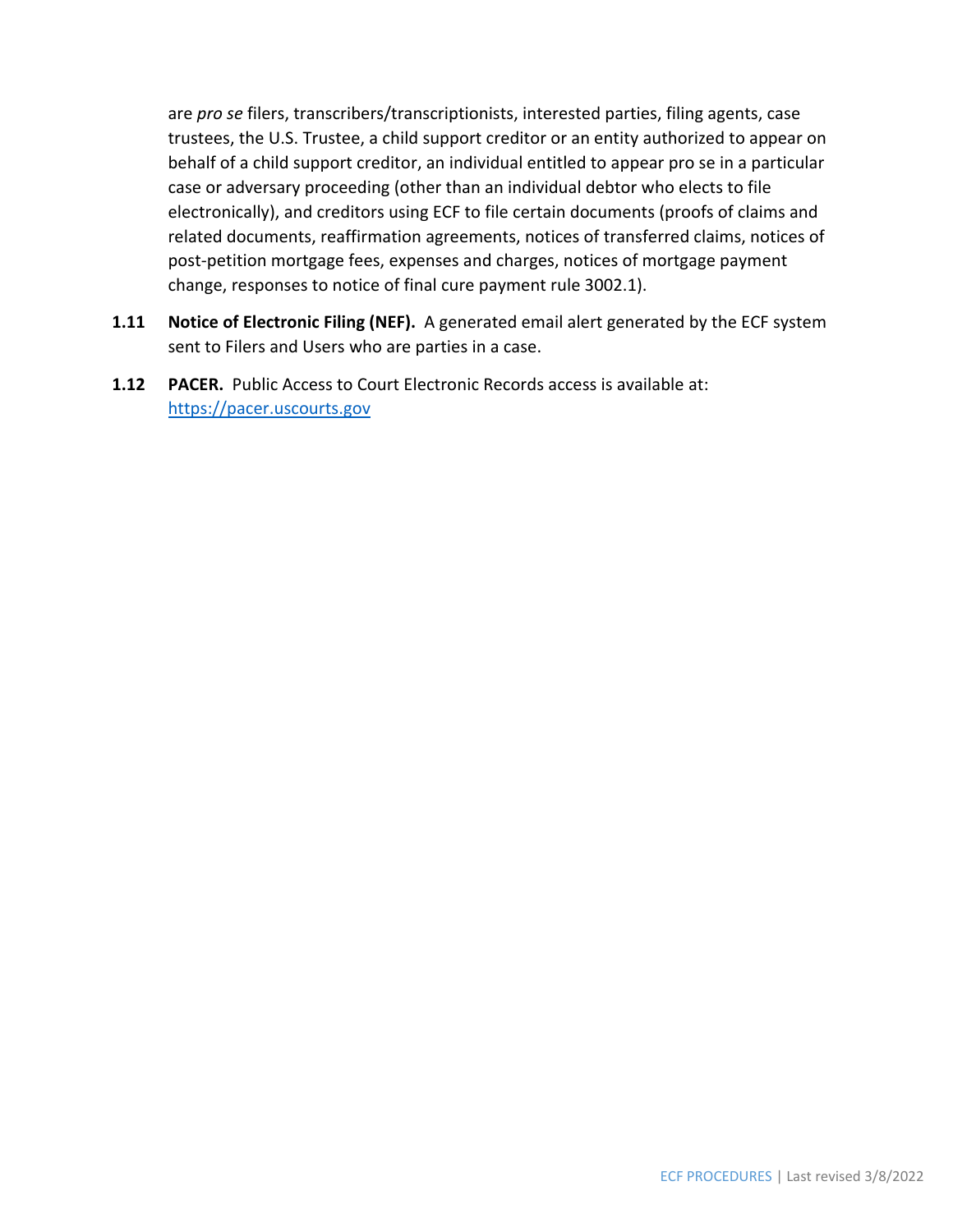are *pro se* filers, transcribers/transcriptionists, interested parties, filing agents, case trustees, the U.S. Trustee, a child support creditor or an entity authorized to appear on behalf of a child support creditor, an individual entitled to appear pro se in a particular case or adversary proceeding (other than an individual debtor who elects to file electronically), and creditors using ECF to file certain documents (proofs of claims and related documents, reaffirmation agreements, notices of transferred claims, notices of post-petition mortgage fees, expenses and charges, notices of mortgage payment change, responses to notice of final cure payment rule 3002.1).

- **1.11 Notice of Electronic Filing (NEF).** A generated email alert generated by the ECF system sent to Filers and Users who are parties in a case.
- **1.12 PACER.** Public Access to Court Electronic Records access is available at: https://pacer.uscourts.gov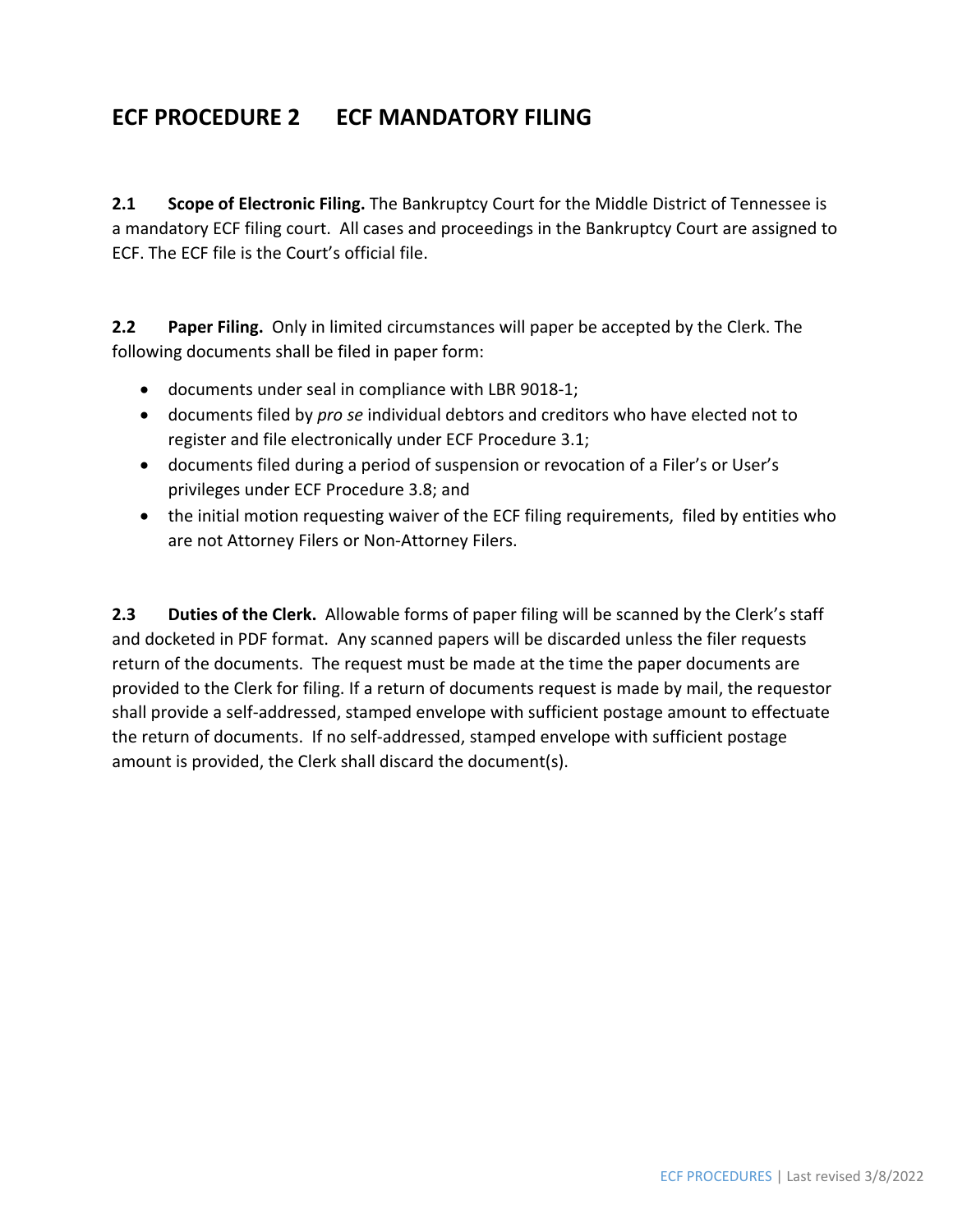#### **ECF PROCEDURE 2 ECF MANDATORY FILING**

**2.1 Scope of Electronic Filing.** The Bankruptcy Court for the Middle District of Tennessee is a mandatory ECF filing court. All cases and proceedings in the Bankruptcy Court are assigned to ECF. The ECF file is the Court's official file.

**2.2 Paper Filing.**  Only in limited circumstances will paper be accepted by the Clerk. The following documents shall be filed in paper form:

- documents under seal in compliance with LBR 9018-1;
- documents filed by *pro se* individual debtors and creditors who have elected not to register and file electronically under ECF Procedure 3.1;
- documents filed during a period of suspension or revocation of a Filer's or User's privileges under ECF Procedure 3.8; and
- the initial motion requesting waiver of the ECF filing requirements, filed by entities who are not Attorney Filers or Non‐Attorney Filers.

**2.3** Duties of the Clerk. Allowable forms of paper filing will be scanned by the Clerk's staff and docketed in PDF format. Any scanned papers will be discarded unless the filer requests return of the documents. The request must be made at the time the paper documents are provided to the Clerk for filing. If a return of documents request is made by mail, the requestor shall provide a self‐addressed, stamped envelope with sufficient postage amount to effectuate the return of documents. If no self‐addressed, stamped envelope with sufficient postage amount is provided, the Clerk shall discard the document(s).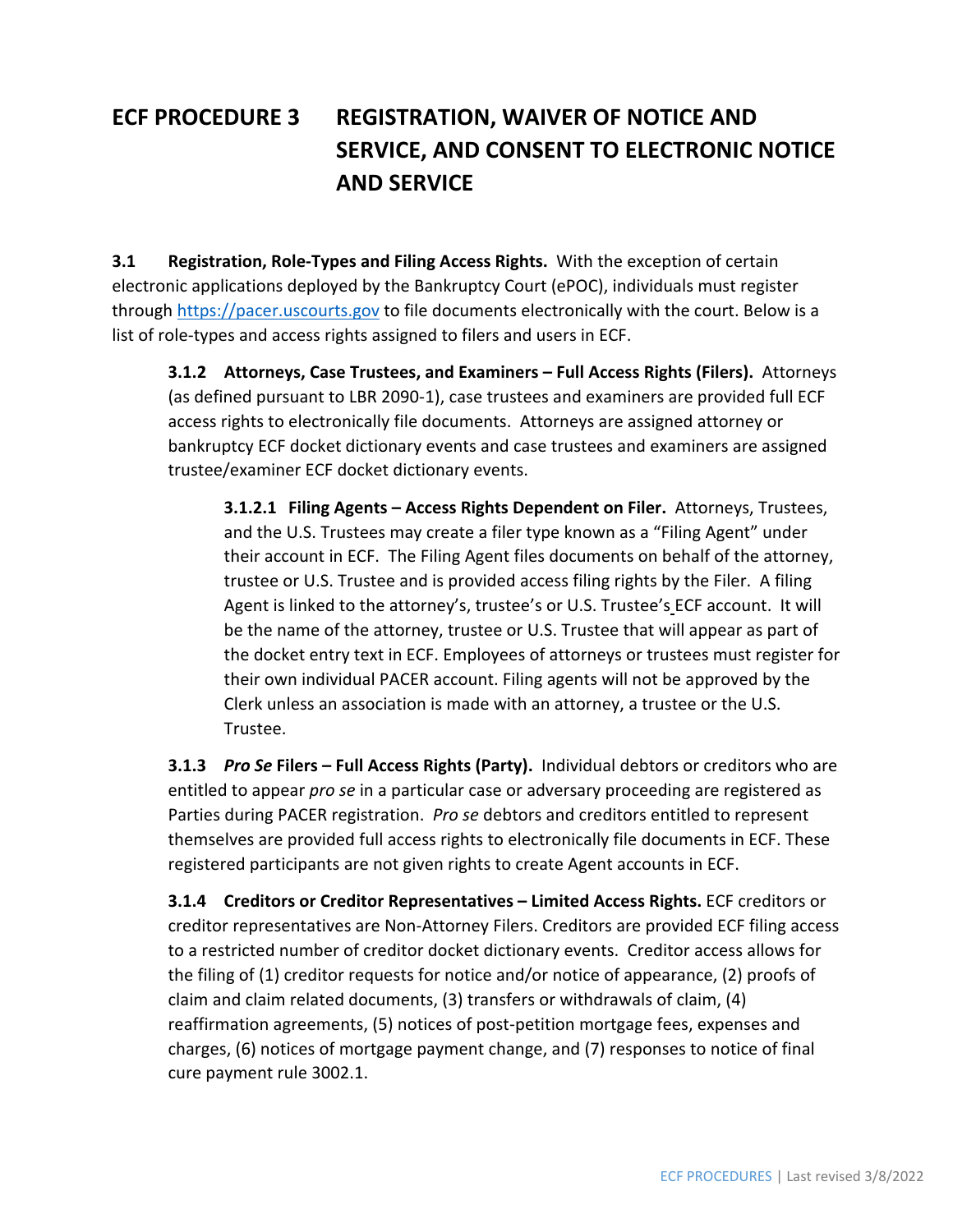## **ECF PROCEDURE 3 REGISTRATION, WAIVER OF NOTICE AND SERVICE, AND CONSENT TO ELECTRONIC NOTICE AND SERVICE**

**3.1 Registration, Role‐Types and Filing Access Rights.** With the exception of certain electronic applications deployed by the Bankruptcy Court (ePOC), individuals must register through https://pacer.uscourts.gov to file documents electronically with the court. Below is a list of role-types and access rights assigned to filers and users in ECF.

**3.1.2 Attorneys, Case Trustees, and Examiners – Full Access Rights (Filers).** Attorneys (as defined pursuant to LBR 2090‐1), case trustees and examiners are provided full ECF access rights to electronically file documents. Attorneys are assigned attorney or bankruptcy ECF docket dictionary events and case trustees and examiners are assigned trustee/examiner ECF docket dictionary events.

**3.1.2.1 Filing Agents – Access Rights Dependent on Filer.** Attorneys, Trustees, and the U.S. Trustees may create a filer type known as a "Filing Agent" under their account in ECF. The Filing Agent files documents on behalf of the attorney, trustee or U.S. Trustee and is provided access filing rights by the Filer. A filing Agent is linked to the attorney's, trustee's or U.S. Trustee's ECF account. It will be the name of the attorney, trustee or U.S. Trustee that will appear as part of the docket entry text in ECF. Employees of attorneys or trustees must register for their own individual PACER account. Filing agents will not be approved by the Clerk unless an association is made with an attorney, a trustee or the U.S. Trustee.

**3.1.3** *Pro Se* **Filers – Full Access Rights (Party).** Individual debtors or creditors who are entitled to appear *pro se* in a particular case or adversary proceeding are registered as Parties during PACER registration. *Pro se* debtors and creditors entitled to represent themselves are provided full access rights to electronically file documents in ECF. These registered participants are not given rights to create Agent accounts in ECF.

**3.1.4 Creditors or Creditor Representatives – Limited Access Rights.** ECF creditors or creditor representatives are Non‐Attorney Filers. Creditors are provided ECF filing access to a restricted number of creditor docket dictionary events. Creditor access allows for the filing of (1) creditor requests for notice and/or notice of appearance, (2) proofs of claim and claim related documents, (3) transfers or withdrawals of claim, (4) reaffirmation agreements, (5) notices of post‐petition mortgage fees, expenses and charges, (6) notices of mortgage payment change, and (7) responses to notice of final cure payment rule 3002.1.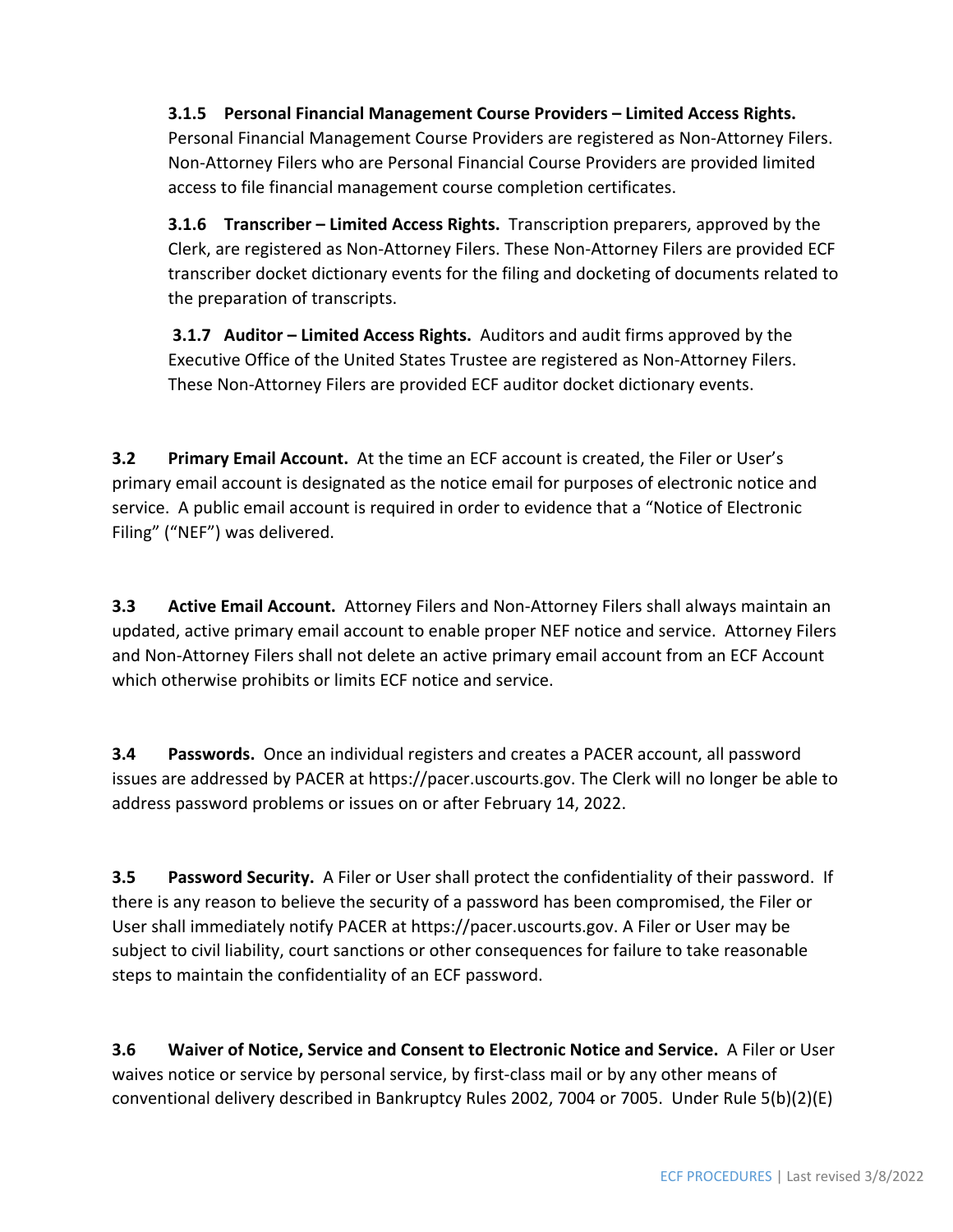**3.1.5 Personal Financial Management Course Providers – Limited Access Rights.** Personal Financial Management Course Providers are registered as Non‐Attorney Filers. Non‐Attorney Filers who are Personal Financial Course Providers are provided limited access to file financial management course completion certificates.

**3.1.6 Transcriber – Limited Access Rights.** Transcription preparers, approved by the Clerk, are registered as Non‐Attorney Filers. These Non‐Attorney Filers are provided ECF transcriber docket dictionary events for the filing and docketing of documents related to the preparation of transcripts.

**3.1.7 Auditor – Limited Access Rights.** Auditors and audit firms approved by the Executive Office of the United States Trustee are registered as Non‐Attorney Filers. These Non‐Attorney Filers are provided ECF auditor docket dictionary events.

**3.2 Primary Email Account.** At the time an ECF account is created, the Filer or User's primary email account is designated as the notice email for purposes of electronic notice and service. A public email account is required in order to evidence that a "Notice of Electronic Filing" ("NEF") was delivered.

**3.3 Active Email Account.** Attorney Filers and Non‐Attorney Filers shall always maintain an updated, active primary email account to enable proper NEF notice and service. Attorney Filers and Non‐Attorney Filers shall not delete an active primary email account from an ECF Account which otherwise prohibits or limits ECF notice and service.

**3.4 Passwords.**  Once an individual registers and creates a PACER account, all password issues are addressed by PACER at https://pacer.uscourts.gov. The Clerk will no longer be able to address password problems or issues on or after February 14, 2022.

**3.5 Password Security.** A Filer or User shall protect the confidentiality of their password. If there is any reason to believe the security of a password has been compromised, the Filer or User shall immediately notify PACER at https://pacer.uscourts.gov. A Filer or User may be subject to civil liability, court sanctions or other consequences for failure to take reasonable steps to maintain the confidentiality of an ECF password.

**3.6 Waiver of Notice, Service and Consent to Electronic Notice and Service.** A Filer or User waives notice or service by personal service, by first-class mail or by any other means of conventional delivery described in Bankruptcy Rules 2002, 7004 or 7005. Under Rule 5(b)(2)(E)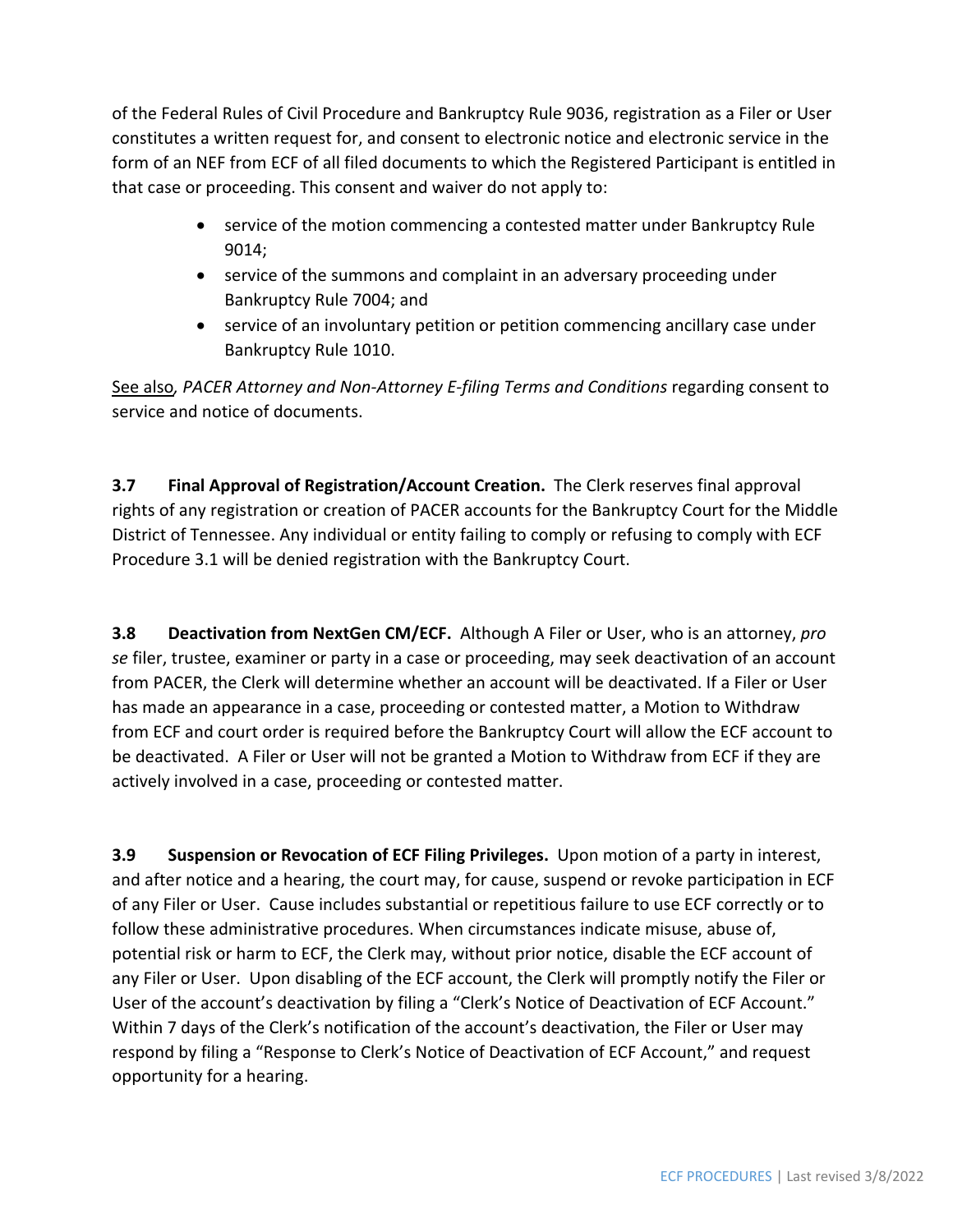of the Federal Rules of Civil Procedure and Bankruptcy Rule 9036, registration as a Filer or User constitutes a written request for, and consent to electronic notice and electronic service in the form of an NEF from ECF of all filed documents to which the Registered Participant is entitled in that case or proceeding. This consent and waiver do not apply to:

- service of the motion commencing a contested matter under Bankruptcy Rule 9014;
- service of the summons and complaint in an adversary proceeding under Bankruptcy Rule 7004; and
- service of an involuntary petition or petition commencing ancillary case under Bankruptcy Rule 1010.

See also*, PACER Attorney and Non‐Attorney E‐filing Terms and Conditions* regarding consent to service and notice of documents.

**3.7 Final Approval of Registration/Account Creation.** The Clerk reserves final approval rights of any registration or creation of PACER accounts for the Bankruptcy Court for the Middle District of Tennessee. Any individual or entity failing to comply or refusing to comply with ECF Procedure 3.1 will be denied registration with the Bankruptcy Court.

**3.8 Deactivation from NextGen CM/ECF.** Although A Filer or User, who is an attorney, *pro se* filer, trustee, examiner or party in a case or proceeding, may seek deactivation of an account from PACER, the Clerk will determine whether an account will be deactivated. If a Filer or User has made an appearance in a case, proceeding or contested matter, a Motion to Withdraw from ECF and court order is required before the Bankruptcy Court will allow the ECF account to be deactivated. A Filer or User will not be granted a Motion to Withdraw from ECF if they are actively involved in a case, proceeding or contested matter.

**3.9 Suspension or Revocation of ECF Filing Privileges.** Upon motion of a party in interest, and after notice and a hearing, the court may, for cause, suspend or revoke participation in ECF of any Filer or User. Cause includes substantial or repetitious failure to use ECF correctly or to follow these administrative procedures. When circumstances indicate misuse, abuse of, potential risk or harm to ECF, the Clerk may, without prior notice, disable the ECF account of any Filer or User. Upon disabling of the ECF account, the Clerk will promptly notify the Filer or User of the account's deactivation by filing a "Clerk's Notice of Deactivation of ECF Account." Within 7 days of the Clerk's notification of the account's deactivation, the Filer or User may respond by filing a "Response to Clerk's Notice of Deactivation of ECF Account," and request opportunity for a hearing.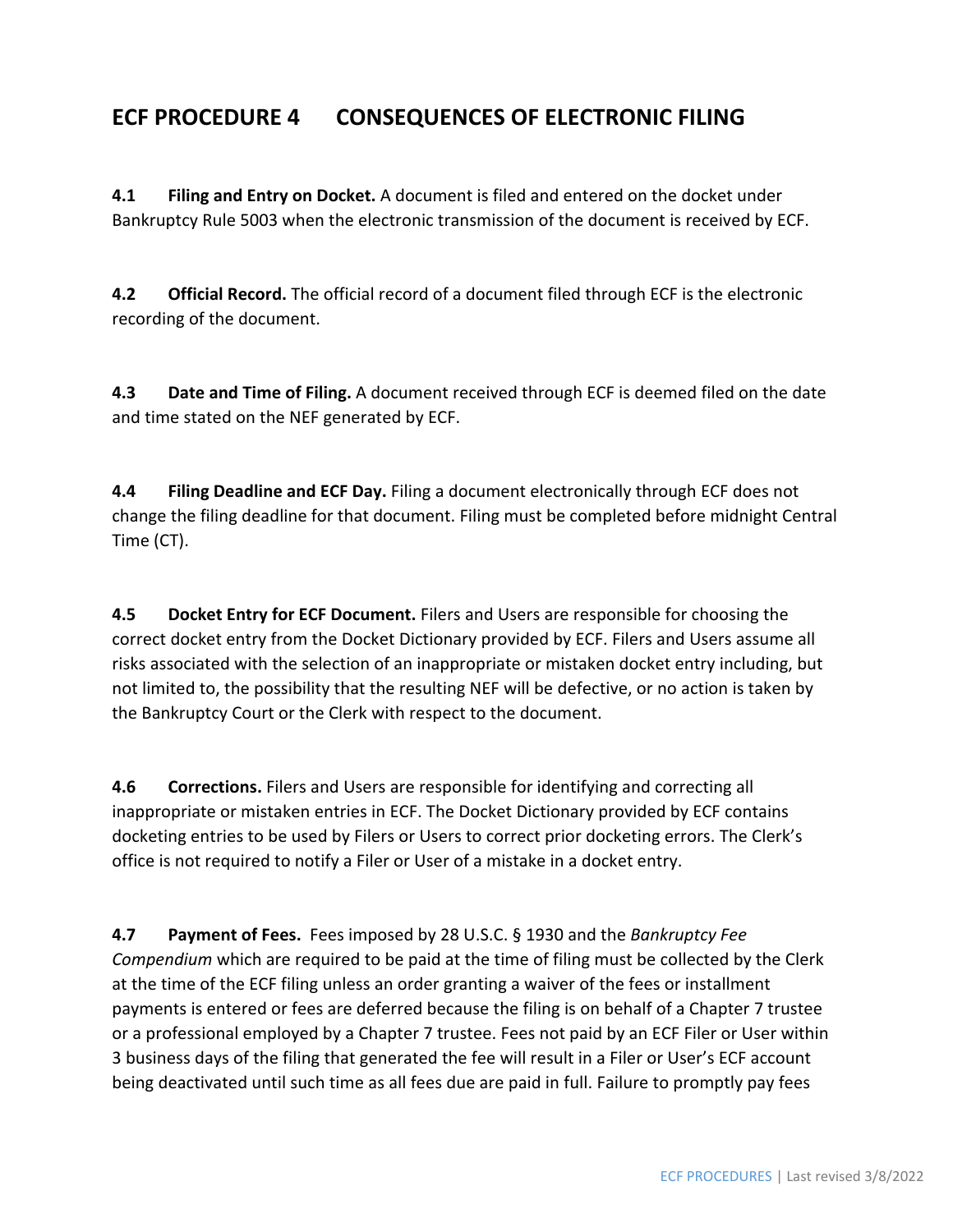#### **ECF PROCEDURE 4 CONSEQUENCES OF ELECTRONIC FILING**

**4.1 Filing and Entry on Docket.** A document is filed and entered on the docket under Bankruptcy Rule 5003 when the electronic transmission of the document is received by ECF.

**4.2 Official Record.** The official record of a document filed through ECF is the electronic recording of the document.

**4.3 Date and Time of Filing.** A document received through ECF is deemed filed on the date and time stated on the NEF generated by ECF.

**4.4 Filing Deadline and ECF Day.** Filing a document electronically through ECF does not change the filing deadline for that document. Filing must be completed before midnight Central Time (CT).

**4.5 Docket Entry for ECF Document.** Filers and Users are responsible for choosing the correct docket entry from the Docket Dictionary provided by ECF. Filers and Users assume all risks associated with the selection of an inappropriate or mistaken docket entry including, but not limited to, the possibility that the resulting NEF will be defective, or no action is taken by the Bankruptcy Court or the Clerk with respect to the document.

**4.6 Corrections.** Filers and Users are responsible for identifying and correcting all inappropriate or mistaken entries in ECF. The Docket Dictionary provided by ECF contains docketing entries to be used by Filers or Users to correct prior docketing errors. The Clerk's office is not required to notify a Filer or User of a mistake in a docket entry.

**4.7 Payment of Fees.** Fees imposed by 28 U.S.C. § 1930 and the *Bankruptcy Fee Compendium* which are required to be paid at the time of filing must be collected by the Clerk at the time of the ECF filing unless an order granting a waiver of the fees or installment payments is entered or fees are deferred because the filing is on behalf of a Chapter 7 trustee or a professional employed by a Chapter 7 trustee. Fees not paid by an ECF Filer or User within 3 business days of the filing that generated the fee will result in a Filer or User's ECF account being deactivated until such time as all fees due are paid in full. Failure to promptly pay fees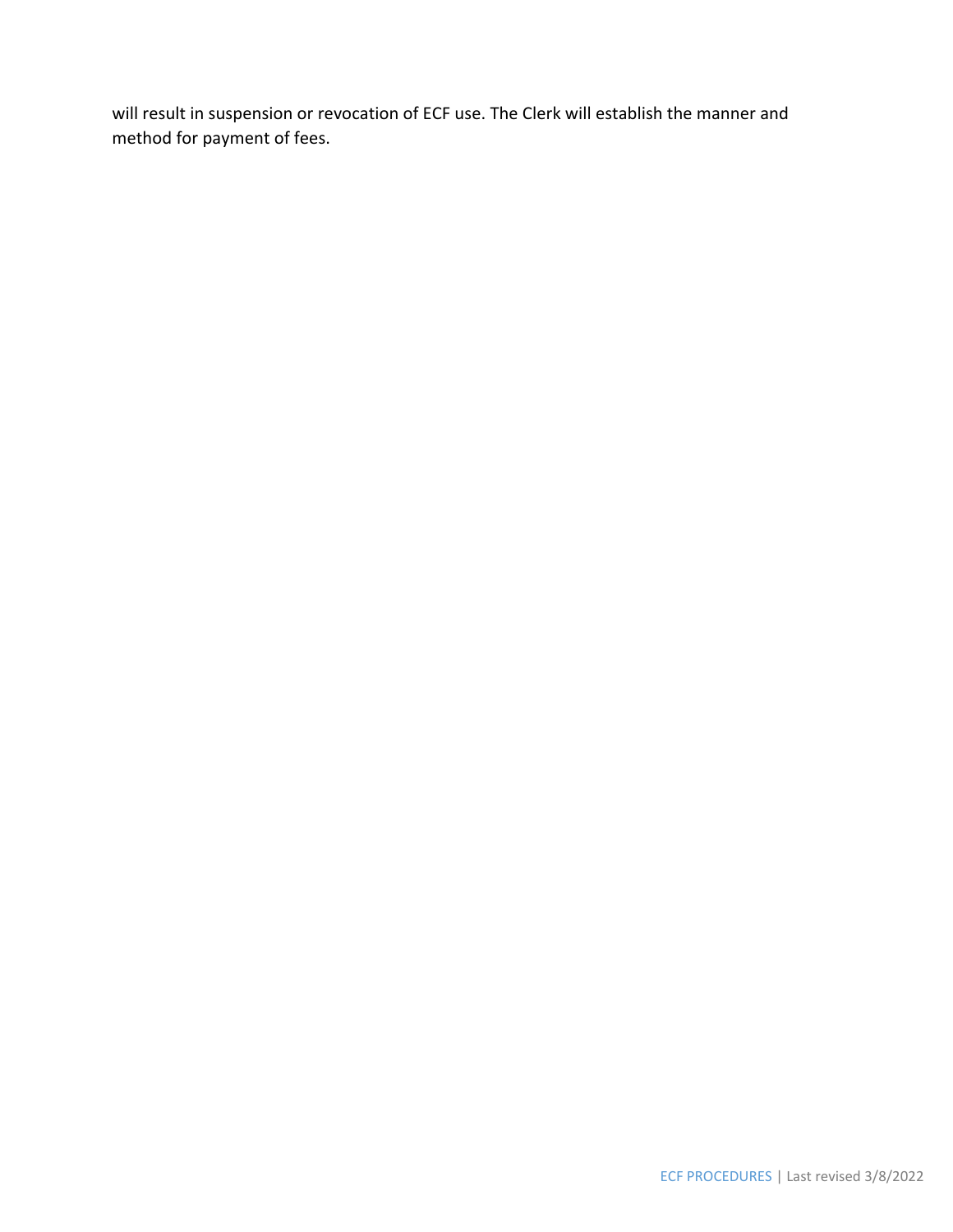will result in suspension or revocation of ECF use. The Clerk will establish the manner and method for payment of fees.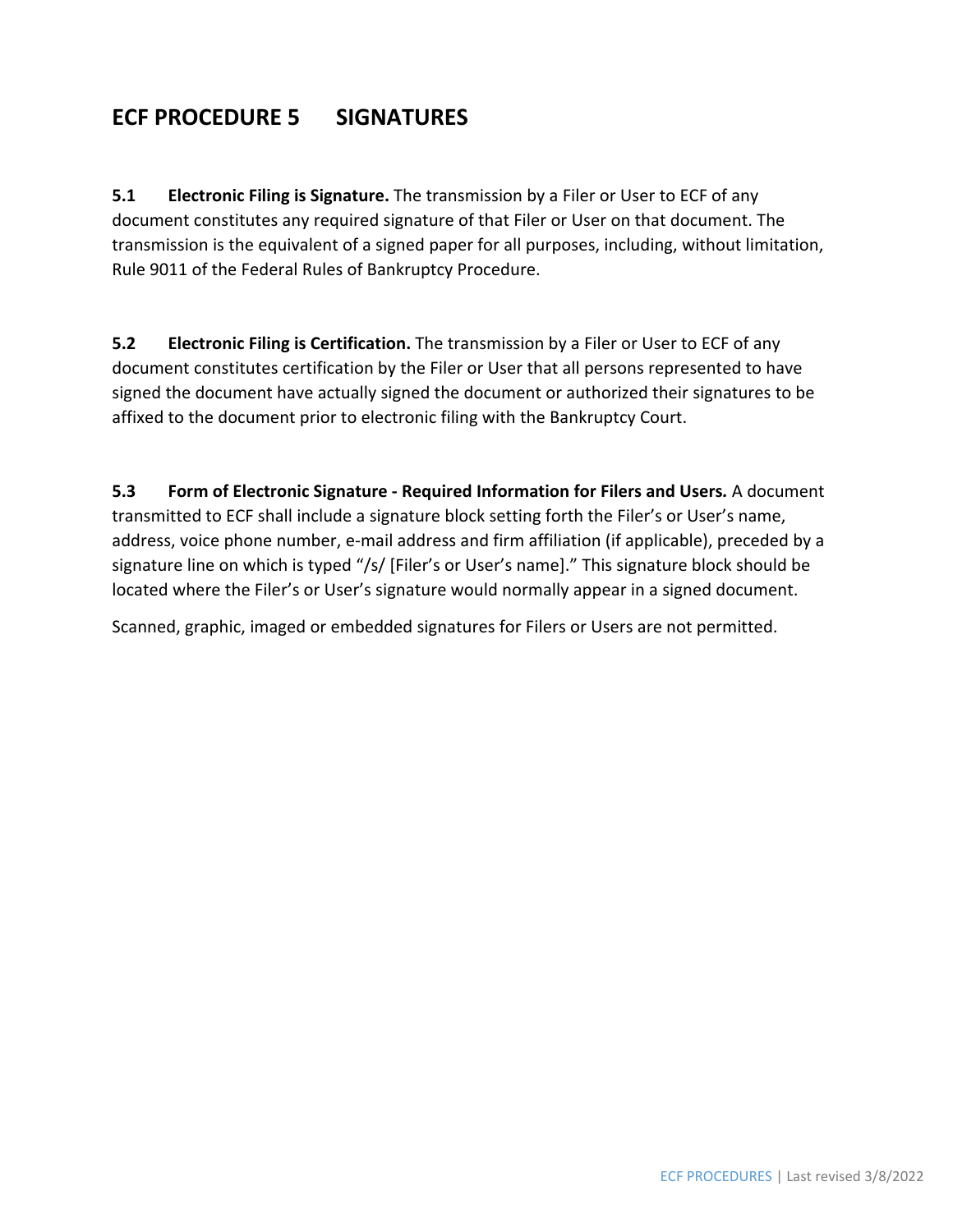### **ECF PROCEDURE 5 SIGNATURES**

**5.1 Electronic Filing is Signature.** The transmission by a Filer or User to ECF of any document constitutes any required signature of that Filer or User on that document. The transmission is the equivalent of a signed paper for all purposes, including, without limitation, Rule 9011 of the Federal Rules of Bankruptcy Procedure.

**5.2 Electronic Filing is Certification.** The transmission by a Filer or User to ECF of any document constitutes certification by the Filer or User that all persons represented to have signed the document have actually signed the document or authorized their signatures to be affixed to the document prior to electronic filing with the Bankruptcy Court.

**5.3 Form of Electronic Signature ‐ Required Information for Filers and Users***.* A document transmitted to ECF shall include a signature block setting forth the Filer's or User's name, address, voice phone number, e-mail address and firm affiliation (if applicable), preceded by a signature line on which is typed "/s/ [Filer's or User's name]." This signature block should be located where the Filer's or User's signature would normally appear in a signed document.

Scanned, graphic, imaged or embedded signatures for Filers or Users are not permitted.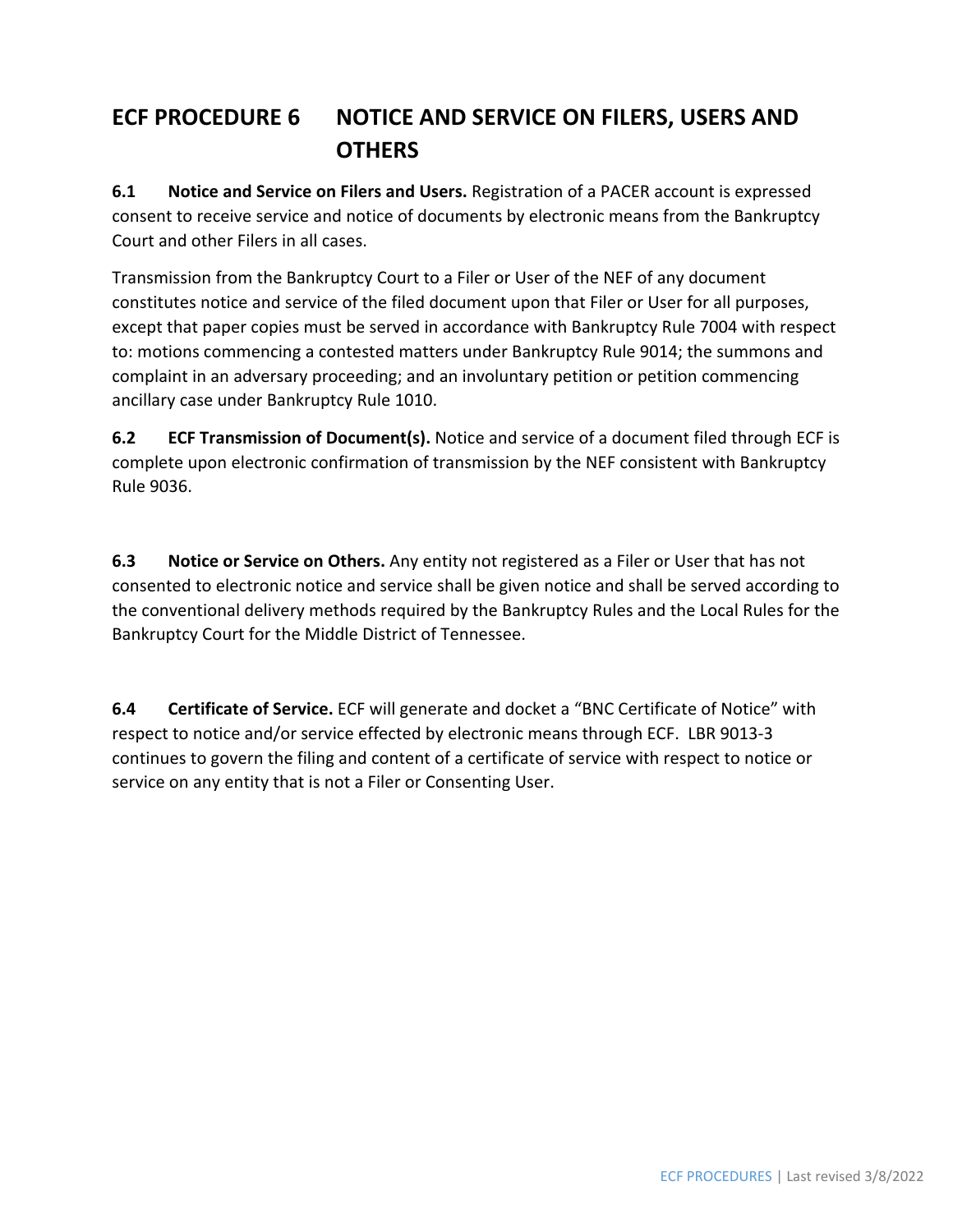## **ECF PROCEDURE 6 NOTICE AND SERVICE ON FILERS, USERS AND OTHERS**

**6.1 Notice and Service on Filers and Users.** Registration of a PACER account is expressed consent to receive service and notice of documents by electronic means from the Bankruptcy Court and other Filers in all cases.

Transmission from the Bankruptcy Court to a Filer or User of the NEF of any document constitutes notice and service of the filed document upon that Filer or User for all purposes, except that paper copies must be served in accordance with Bankruptcy Rule 7004 with respect to: motions commencing a contested matters under Bankruptcy Rule 9014; the summons and complaint in an adversary proceeding; and an involuntary petition or petition commencing ancillary case under Bankruptcy Rule 1010.

**6.2 ECF Transmission of Document(s).** Notice and service of a document filed through ECF is complete upon electronic confirmation of transmission by the NEF consistent with Bankruptcy Rule 9036.

**6.3 Notice or Service on Others.** Any entity not registered as a Filer or User that has not consented to electronic notice and service shall be given notice and shall be served according to the conventional delivery methods required by the Bankruptcy Rules and the Local Rules for the Bankruptcy Court for the Middle District of Tennessee.

**6.4 Certificate of Service.** ECF will generate and docket a "BNC Certificate of Notice" with respect to notice and/or service effected by electronic means through ECF. LBR 9013‐3 continues to govern the filing and content of a certificate of service with respect to notice or service on any entity that is not a Filer or Consenting User.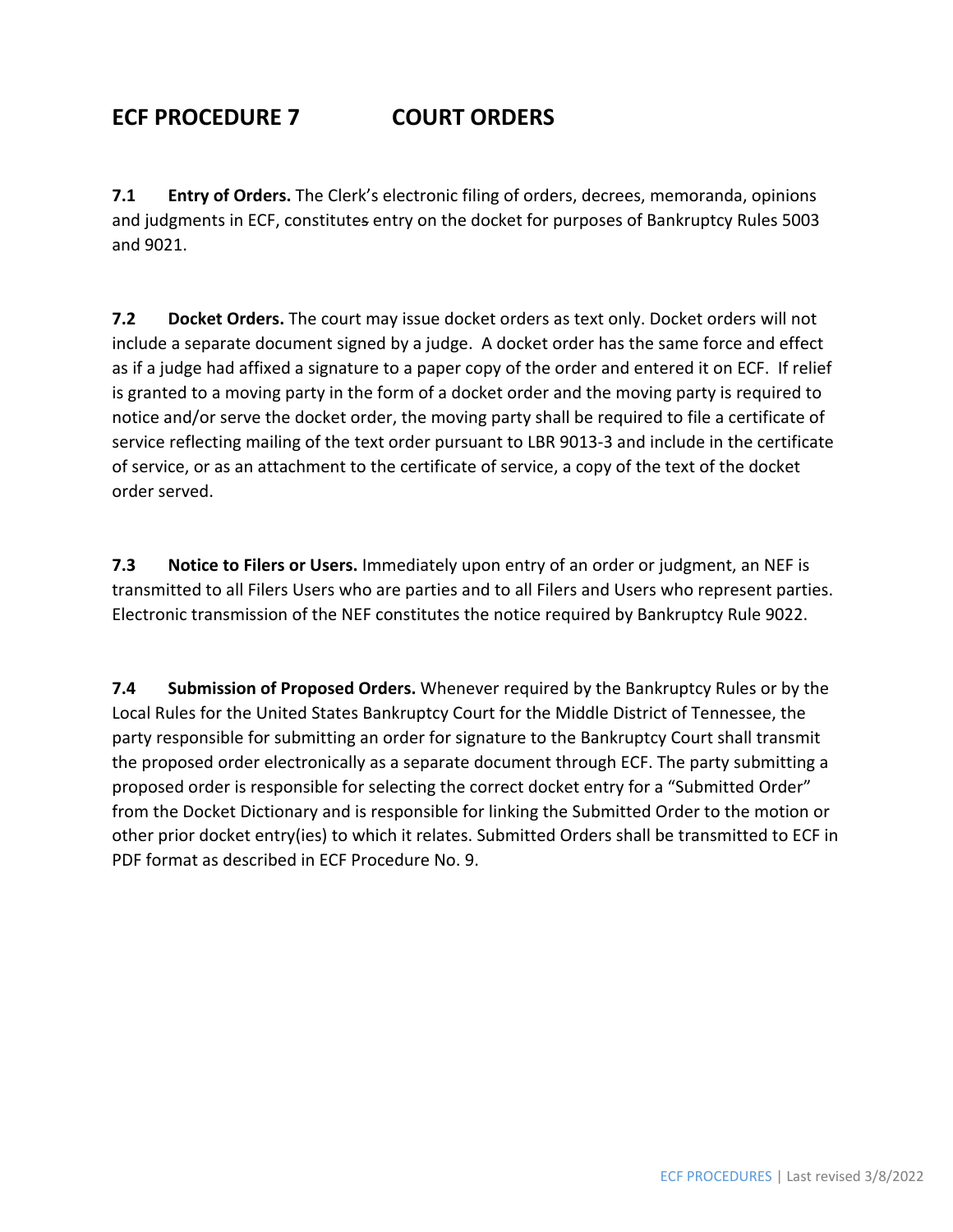## **ECF PROCEDURE 7 COURT ORDERS**

**7.1 Entry of Orders.** The Clerk's electronic filing of orders, decrees, memoranda, opinions and judgments in ECF, constitutes entry on the docket for purposes of Bankruptcy Rules 5003 and 9021.

**7.2 Docket Orders.** The court may issue docket orders as text only. Docket orders will not include a separate document signed by a judge. A docket order has the same force and effect as if a judge had affixed a signature to a paper copy of the order and entered it on ECF. If relief is granted to a moving party in the form of a docket order and the moving party is required to notice and/or serve the docket order, the moving party shall be required to file a certificate of service reflecting mailing of the text order pursuant to LBR 9013‐3 and include in the certificate of service, or as an attachment to the certificate of service, a copy of the text of the docket order served.

**7.3 Notice to Filers or Users.** Immediately upon entry of an order or judgment, an NEF is transmitted to all Filers Users who are parties and to all Filers and Users who represent parties. Electronic transmission of the NEF constitutes the notice required by Bankruptcy Rule 9022.

**7.4 Submission of Proposed Orders.** Whenever required by the Bankruptcy Rules or by the Local Rules for the United States Bankruptcy Court for the Middle District of Tennessee, the party responsible for submitting an order for signature to the Bankruptcy Court shall transmit the proposed order electronically as a separate document through ECF. The party submitting a proposed order is responsible for selecting the correct docket entry for a "Submitted Order" from the Docket Dictionary and is responsible for linking the Submitted Order to the motion or other prior docket entry(ies) to which it relates. Submitted Orders shall be transmitted to ECF in PDF format as described in ECF Procedure No. 9.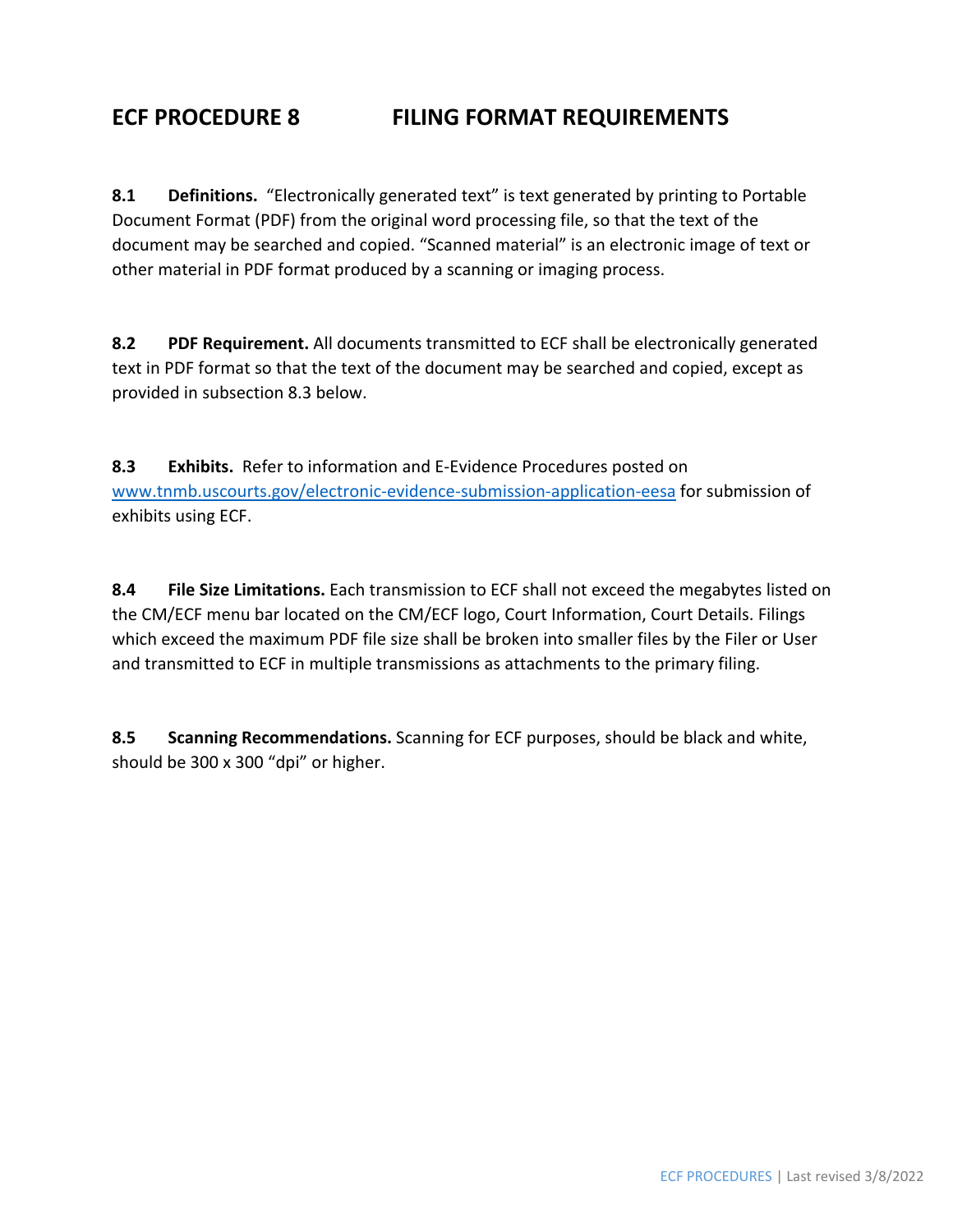### **ECF PROCEDURE 8 FILING FORMAT REQUIREMENTS**

**8.1 Definitions.** "Electronically generated text" is text generated by printing to Portable Document Format (PDF) from the original word processing file, so that the text of the document may be searched and copied. "Scanned material" is an electronic image of text or other material in PDF format produced by a scanning or imaging process.

**8.2 PDF Requirement.** All documents transmitted to ECF shall be electronically generated text in PDF format so that the text of the document may be searched and copied, except as provided in subsection 8.3 below.

**8.3 Exhibits.** Refer to information and E‐Evidence Procedures posted on www.tnmb.uscourts.gov/electronic‐evidence‐submission‐application‐eesa for submission of exhibits using ECF.

**8.4 File Size Limitations.** Each transmission to ECF shall not exceed the megabytes listed on the CM/ECF menu bar located on the CM/ECF logo, Court Information, Court Details. Filings which exceed the maximum PDF file size shall be broken into smaller files by the Filer or User and transmitted to ECF in multiple transmissions as attachments to the primary filing.

**8.5 Scanning Recommendations.** Scanning for ECF purposes, should be black and white, should be 300 x 300 "dpi" or higher.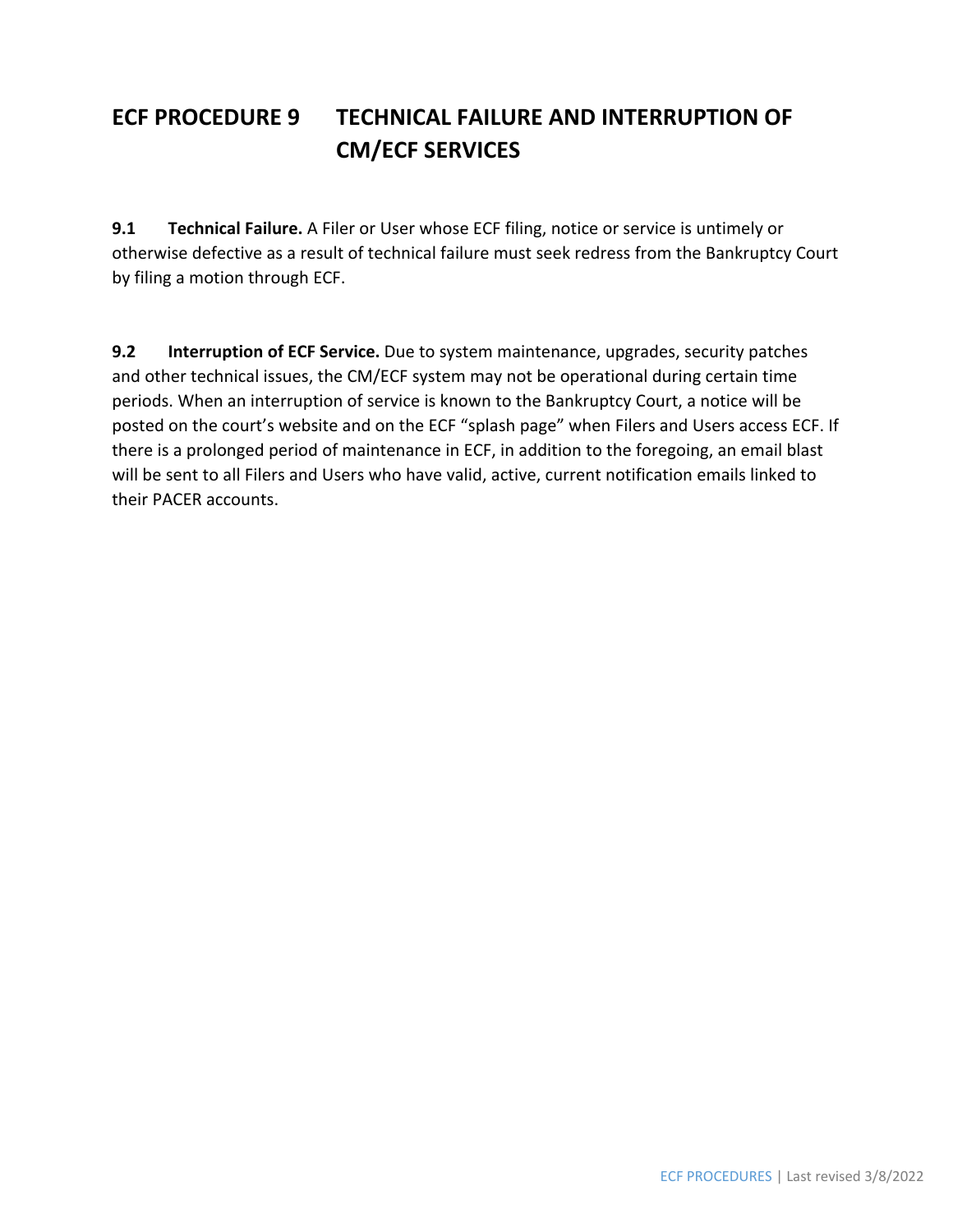## **ECF PROCEDURE 9 TECHNICAL FAILURE AND INTERRUPTION OF CM/ECF SERVICES**

**9.1 Technical Failure.** A Filer or User whose ECF filing, notice or service is untimely or otherwise defective as a result of technical failure must seek redress from the Bankruptcy Court by filing a motion through ECF.

**9.2 Interruption of ECF Service.** Due to system maintenance, upgrades, security patches and other technical issues, the CM/ECF system may not be operational during certain time periods. When an interruption of service is known to the Bankruptcy Court, a notice will be posted on the court's website and on the ECF "splash page" when Filers and Users access ECF. If there is a prolonged period of maintenance in ECF, in addition to the foregoing, an email blast will be sent to all Filers and Users who have valid, active, current notification emails linked to their PACER accounts.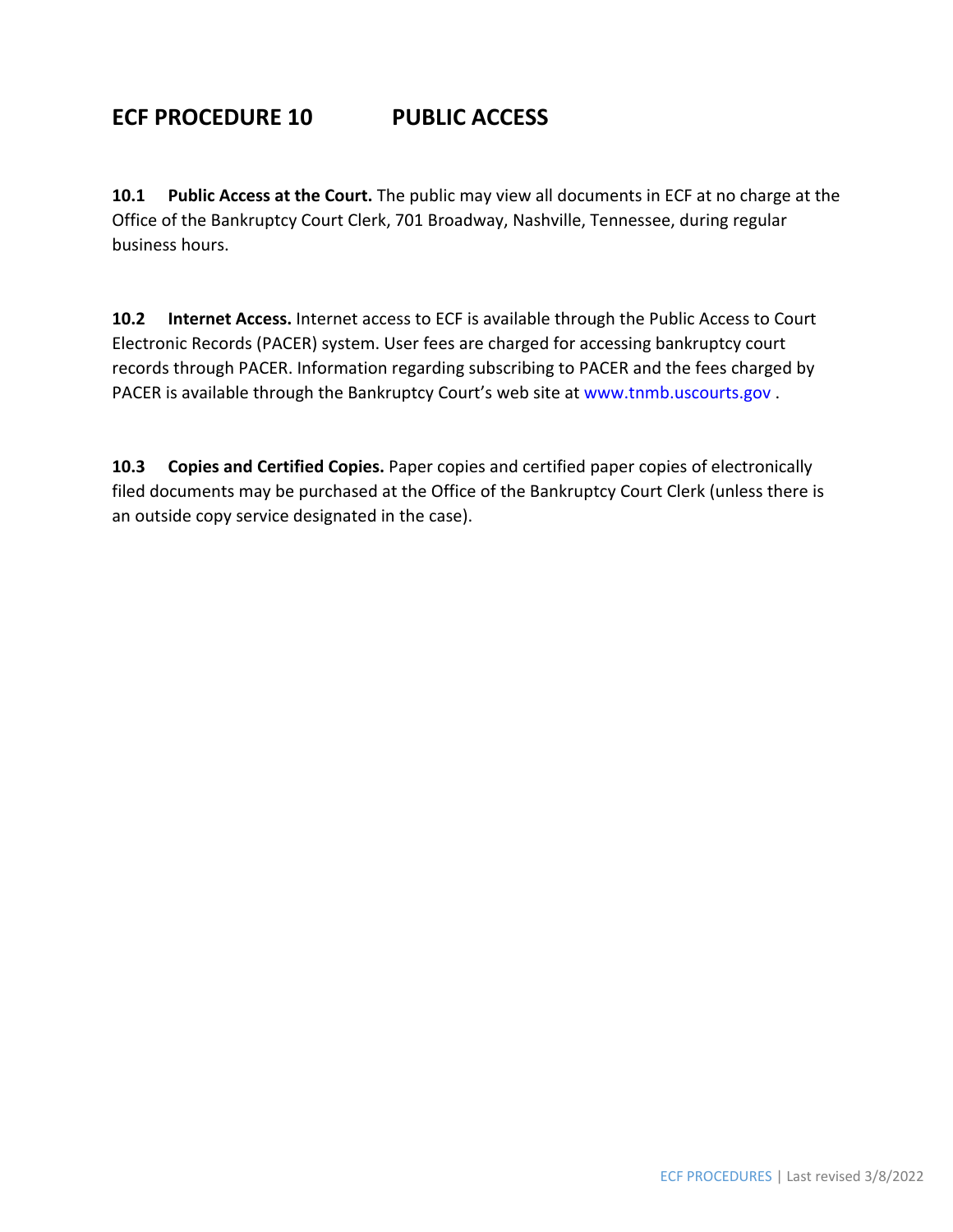### **ECF PROCEDURE 10 PUBLIC ACCESS**

**10.1 Public Access at the Court.** The public may view all documents in ECF at no charge at the Office of the Bankruptcy Court Clerk, 701 Broadway, Nashville, Tennessee, during regular business hours.

**10.2 Internet Access.** Internet access to ECF is available through the Public Access to Court Electronic Records (PACER) system. User fees are charged for accessing bankruptcy court records through PACER. Information regarding subscribing to PACER and the fees charged by PACER is available through the Bankruptcy Court's web site at www.tnmb.uscourts.gov.

**10.3 Copies and Certified Copies.** Paper copies and certified paper copies of electronically filed documents may be purchased at the Office of the Bankruptcy Court Clerk (unless there is an outside copy service designated in the case).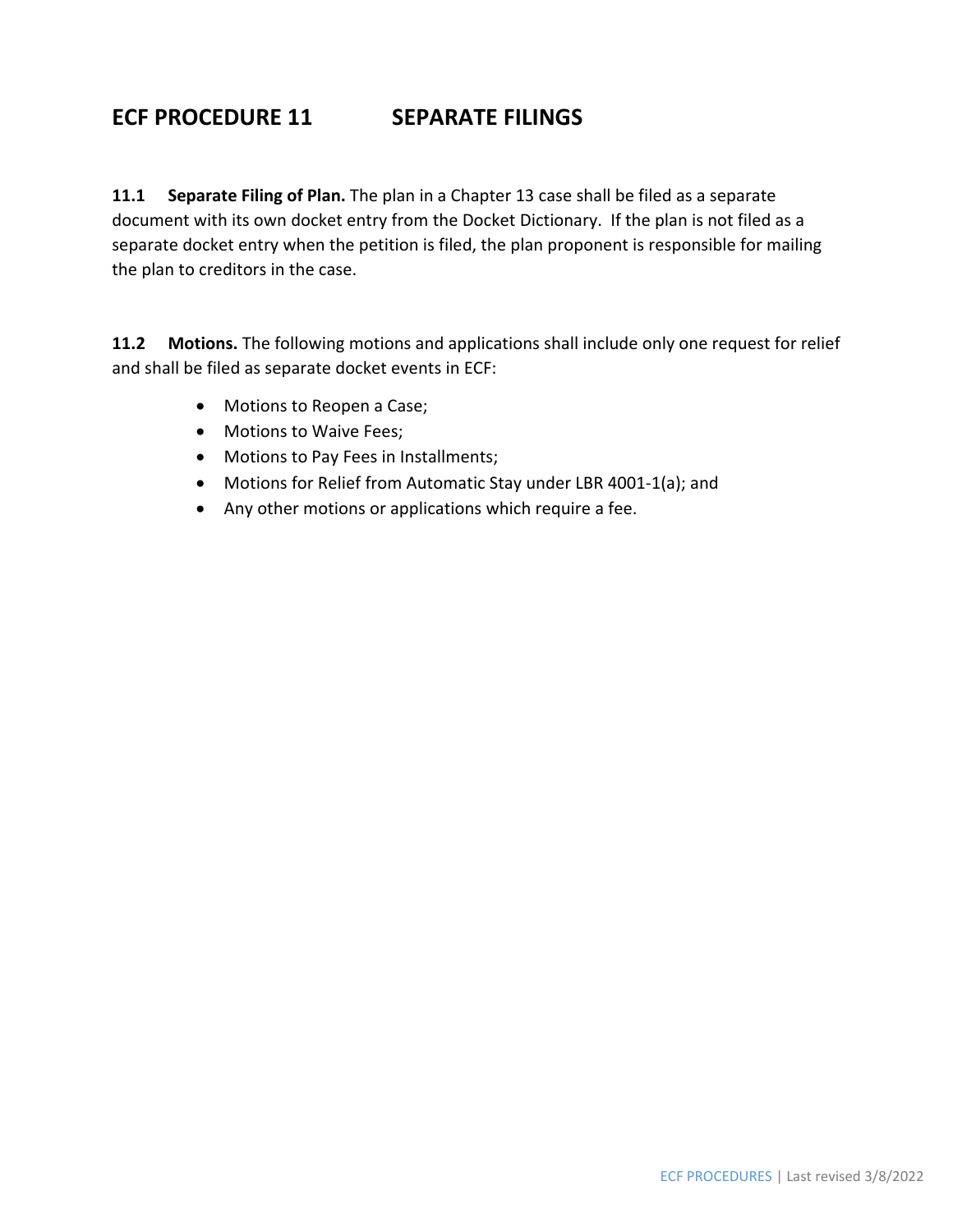### **ECF PROCEDURE 11 SEPARATE FILINGS**

**11.1 Separate Filing of Plan.** The plan in a Chapter 13 case shall be filed as a separate document with its own docket entry from the Docket Dictionary. If the plan is not filed as a separate docket entry when the petition is filed, the plan proponent is responsible for mailing the plan to creditors in the case.

**11.2 Motions.** The following motions and applications shall include only one request for relief and shall be filed as separate docket events in ECF:

- Motions to Reopen a Case;
- Motions to Waive Fees:
- Motions to Pay Fees in Installments;
- Motions for Relief from Automatic Stay under LBR 4001‐1(a); and
- Any other motions or applications which require a fee.